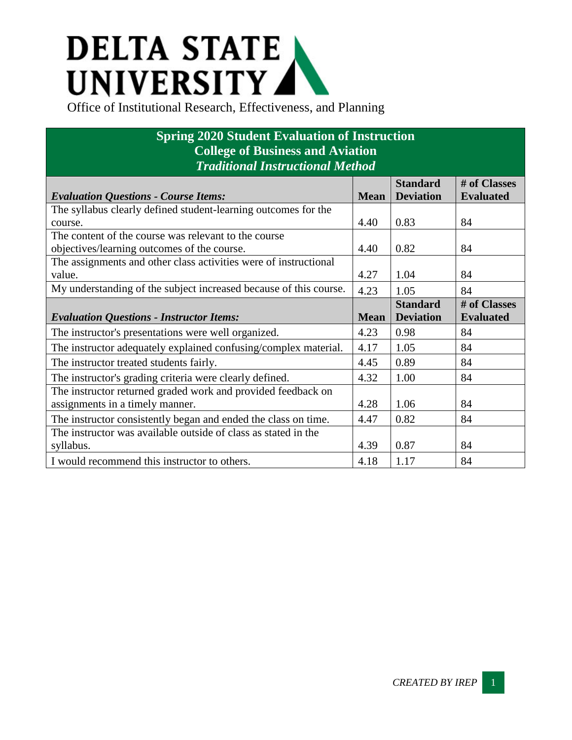## **DELTA STATE A** UNIVERSITY

## **Spring 2020 Student Evaluation of Instruction College of Business and Aviation** *Traditional Instructional Method*

|                                                                   |             | <b>Standard</b>  | # of Classes     |
|-------------------------------------------------------------------|-------------|------------------|------------------|
| <b>Evaluation Questions - Course Items:</b>                       | <b>Mean</b> | <b>Deviation</b> | <b>Evaluated</b> |
| The syllabus clearly defined student-learning outcomes for the    |             |                  |                  |
| course.                                                           | 4.40        | 0.83             | 84               |
| The content of the course was relevant to the course              |             |                  |                  |
| objectives/learning outcomes of the course.                       | 4.40        | 0.82             | 84               |
| The assignments and other class activities were of instructional  |             |                  |                  |
| value.                                                            | 4.27        | 1.04             | 84               |
| My understanding of the subject increased because of this course. | 4.23        | 1.05             | 84               |
|                                                                   |             | <b>Standard</b>  | # of Classes     |
| <b>Evaluation Questions - Instructor Items:</b>                   | <b>Mean</b> | <b>Deviation</b> | <b>Evaluated</b> |
| The instructor's presentations were well organized.               | 4.23        | 0.98             | 84               |
| The instructor adequately explained confusing/complex material.   | 4.17        | 1.05             | 84               |
| The instructor treated students fairly.                           | 4.45        | 0.89             | 84               |
| The instructor's grading criteria were clearly defined.           | 4.32        | 1.00             | 84               |
| The instructor returned graded work and provided feedback on      |             |                  |                  |
| assignments in a timely manner.                                   | 4.28        | 1.06             | 84               |
| The instructor consistently began and ended the class on time.    | 4.47        | 0.82             | 84               |
| The instructor was available outside of class as stated in the    |             |                  |                  |
| syllabus.                                                         | 4.39        | 0.87             | 84               |
| I would recommend this instructor to others.                      | 4.18        | 1.17             | 84               |